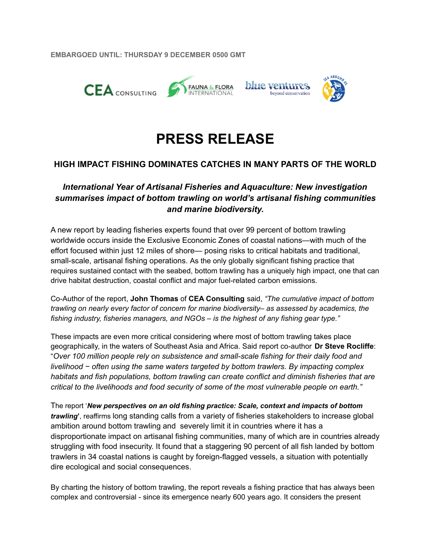**EMBARGOED UNTIL: THURSDAY 9 DECEMBER 0500 GMT**



# **PRESS RELEASE**

# **HIGH IMPACT FISHING DOMINATES CATCHES IN MANY PARTS OF THE WORLD**

# *International Year of Artisanal Fisheries and Aquaculture: New investigation summarises impact of bottom trawling on world's artisanal fishing communities and marine biodiversity.*

A new report by leading fisheries experts found that over 99 percent of bottom trawling worldwide occurs inside the Exclusive Economic Zones of coastal nations—with much of the effort focused within just 12 miles of shore— posing risks to critical habitats and traditional, small-scale, artisanal fishing operations. As the only globally significant fishing practice that requires sustained contact with the seabed, bottom trawling has a uniquely high impact, one that can drive habitat destruction, coastal conflict and major fuel-related carbon emissions.

Co-Author of the report, **John Thomas** of **CEA Consulting** said, *"The cumulative impact of bottom trawling on nearly every factor of concern for marine biodiversity– as assessed by academics, the fishing industry, fisheries managers, and NGOs – is the highest of any fishing gear type."*

These impacts are even more critical considering where most of bottom trawling takes place geographically, in the waters of Southeast Asia and Africa. Said report co-author **Dr Steve Rocliffe**: "*Over 100 million people rely on subsistence and small-scale fishing for their daily food and livelihood − often using the same waters targeted by bottom trawlers. By impacting complex habitats and fish populations, bottom trawling can create conflict and diminish fisheries that are critical to the livelihoods and food security of some of the most vulnerable people on earth."*

The report '*New perspectives on an old fishing practice: Scale, context and impacts of bottom trawling***'**, reaffirms long standing calls from a variety of fisheries stakeholders to increase global ambition around bottom trawling and severely limit it in countries where it has a disproportionate impact on artisanal fishing communities, many of which are in countries already struggling with food insecurity. It found that a staggering 90 percent of all fish landed by bottom trawlers in 34 coastal nations is caught by foreign-flagged vessels, a situation with potentially dire ecological and social consequences.

By charting the history of bottom trawling, the report reveals a fishing practice that has always been complex and controversial - since its emergence nearly 600 years ago. It considers the present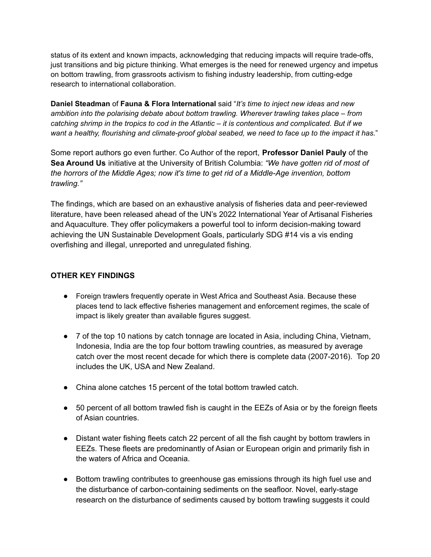status of its extent and known impacts, acknowledging that reducing impacts will require trade-offs, just transitions and big picture thinking. What emerges is the need for renewed urgency and impetus on bottom trawling, from grassroots activism to fishing industry leadership, from cutting-edge research to international collaboration.

**Daniel Steadman** of **Fauna & Flora International** said "*It's time to inject new ideas and new ambition into the polarising debate about bottom trawling. Wherever trawling takes place – from catching shrimp in the tropics to cod in the Atlantic – it is contentious and complicated. But if we want a healthy, flourishing and climate-proof global seabed, we need to face up to the impact it has.*"

Some report authors go even further. Co Author of the report, **Professor Daniel Pauly** of the **Sea Around Us** initiative at the University of British Columbia: *"We have gotten rid of most of the horrors of the Middle Ages; now it's time to get rid of a Middle-Age invention, bottom trawling."*

The findings, which are based on an exhaustive analysis of fisheries data and peer-reviewed literature, have been released ahead of the UN's 2022 International Year of Artisanal Fisheries and Aquaculture. They offer policymakers a powerful tool to inform decision-making toward achieving the UN Sustainable Development Goals, particularly SDG #14 vis a vis ending overfishing and illegal, unreported and unregulated fishing.

## **OTHER KEY FINDINGS**

- Foreign trawlers frequently operate in West Africa and Southeast Asia. Because these places tend to lack effective fisheries management and enforcement regimes, the scale of impact is likely greater than available figures suggest.
- 7 of the top 10 nations by catch tonnage are located in Asia, including China, Vietnam, Indonesia, India are the top four bottom trawling countries, as measured by average catch over the most recent decade for which there is complete data (2007-2016). Top 20 includes the UK, USA and New Zealand.
- China alone catches 15 percent of the total bottom trawled catch.
- 50 percent of all bottom trawled fish is caught in the EEZs of Asia or by the foreign fleets of Asian countries.
- Distant water fishing fleets catch 22 percent of all the fish caught by bottom trawlers in EEZs. These fleets are predominantly of Asian or European origin and primarily fish in the waters of Africa and Oceania.
- Bottom trawling contributes to greenhouse gas emissions through its high fuel use and the disturbance of carbon-containing sediments on the seafloor. Novel, early-stage research on the disturbance of sediments caused by bottom trawling suggests it could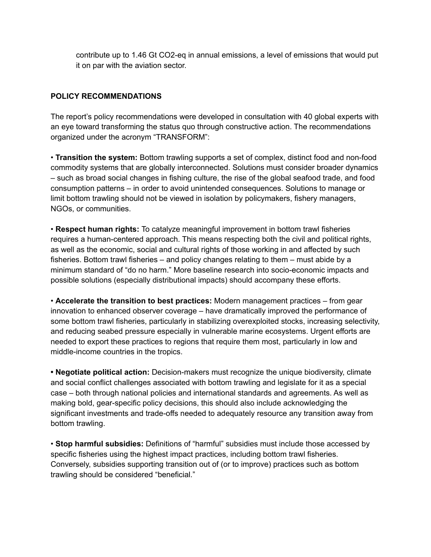contribute up to 1.46 Gt CO2-eq in annual emissions, a level of emissions that would put it on par with the aviation sector.

## **POLICY RECOMMENDATIONS**

The report's policy recommendations were developed in consultation with 40 global experts with an eye toward transforming the status quo through constructive action. The recommendations organized under the acronym "TRANSFORM":

• **Transition the system:** Bottom trawling supports a set of complex, distinct food and non-food commodity systems that are globally interconnected. Solutions must consider broader dynamics – such as broad social changes in fishing culture, the rise of the global seafood trade, and food consumption patterns – in order to avoid unintended consequences. Solutions to manage or limit bottom trawling should not be viewed in isolation by policymakers, fishery managers, NGOs, or communities.

• **Respect human rights:** To catalyze meaningful improvement in bottom trawl fisheries requires a human-centered approach. This means respecting both the civil and political rights, as well as the economic, social and cultural rights of those working in and affected by such fisheries. Bottom trawl fisheries – and policy changes relating to them – must abide by a minimum standard of "do no harm." More baseline research into socio-economic impacts and possible solutions (especially distributional impacts) should accompany these efforts.

• **Accelerate the transition to best practices:** Modern management practices – from gear innovation to enhanced observer coverage – have dramatically improved the performance of some bottom trawl fisheries, particularly in stabilizing overexploited stocks, increasing selectivity, and reducing seabed pressure especially in vulnerable marine ecosystems. Urgent efforts are needed to export these practices to regions that require them most, particularly in low and middle-income countries in the tropics.

**• Negotiate political action:** Decision-makers must recognize the unique biodiversity, climate and social conflict challenges associated with bottom trawling and legislate for it as a special case – both through national policies and international standards and agreements. As well as making bold, gear-specific policy decisions, this should also include acknowledging the significant investments and trade-offs needed to adequately resource any transition away from bottom trawling.

• **Stop harmful subsidies:** Definitions of "harmful" subsidies must include those accessed by specific fisheries using the highest impact practices, including bottom trawl fisheries. Conversely, subsidies supporting transition out of (or to improve) practices such as bottom trawling should be considered "beneficial."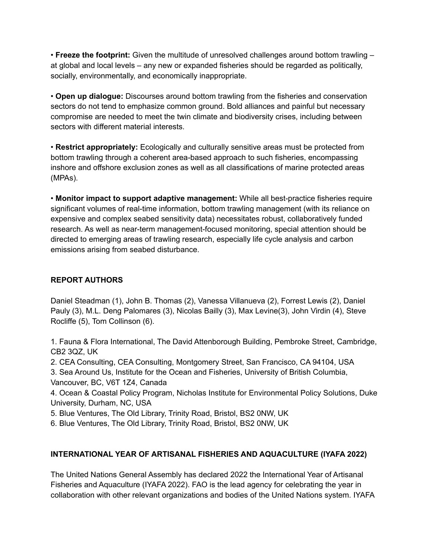• **Freeze the footprint:** Given the multitude of unresolved challenges around bottom trawling – at global and local levels – any new or expanded fisheries should be regarded as politically, socially, environmentally, and economically inappropriate.

• **Open up dialogue:** Discourses around bottom trawling from the fisheries and conservation sectors do not tend to emphasize common ground. Bold alliances and painful but necessary compromise are needed to meet the twin climate and biodiversity crises, including between sectors with different material interests.

• **Restrict appropriately:** Ecologically and culturally sensitive areas must be protected from bottom trawling through a coherent area-based approach to such fisheries, encompassing inshore and offshore exclusion zones as well as all classifications of marine protected areas (MPAs).

• **Monitor impact to support adaptive management:** While all best-practice fisheries require significant volumes of real-time information, bottom trawling management (with its reliance on expensive and complex seabed sensitivity data) necessitates robust, collaboratively funded research. As well as near-term management-focused monitoring, special attention should be directed to emerging areas of trawling research, especially life cycle analysis and carbon emissions arising from seabed disturbance.

# **REPORT AUTHORS**

Daniel Steadman (1), John B. Thomas (2), Vanessa Villanueva (2), Forrest Lewis (2), Daniel Pauly (3), M.L. Deng Palomares (3), Nicolas Bailly (3), Max Levine(3), John Virdin (4), Steve Rocliffe (5), Tom Collinson (6).

1. Fauna & Flora International, The David Attenborough Building, Pembroke Street, Cambridge, CB2 3QZ, UK

2. CEA Consulting, CEA Consulting, Montgomery Street, San Francisco, CA 94104, USA 3. Sea Around Us, Institute for the Ocean and Fisheries, University of British Columbia, Vancouver, BC, V6T 1Z4, Canada

4. Ocean & Coastal Policy Program, Nicholas Institute for Environmental Policy Solutions, Duke University, Durham, NC, USA

5. Blue Ventures, The Old Library, Trinity Road, Bristol, BS2 0NW, UK

6. Blue Ventures, The Old Library, Trinity Road, Bristol, BS2 0NW, UK

# **INTERNATIONAL YEAR OF ARTISANAL FISHERIES AND AQUACULTURE (IYAFA 2022)**

The United Nations General Assembly has declared 2022 the International Year of Artisanal Fisheries and Aquaculture (IYAFA 2022). FAO is the lead agency for celebrating the year in collaboration with other relevant organizations and bodies of the United Nations system. IYAFA